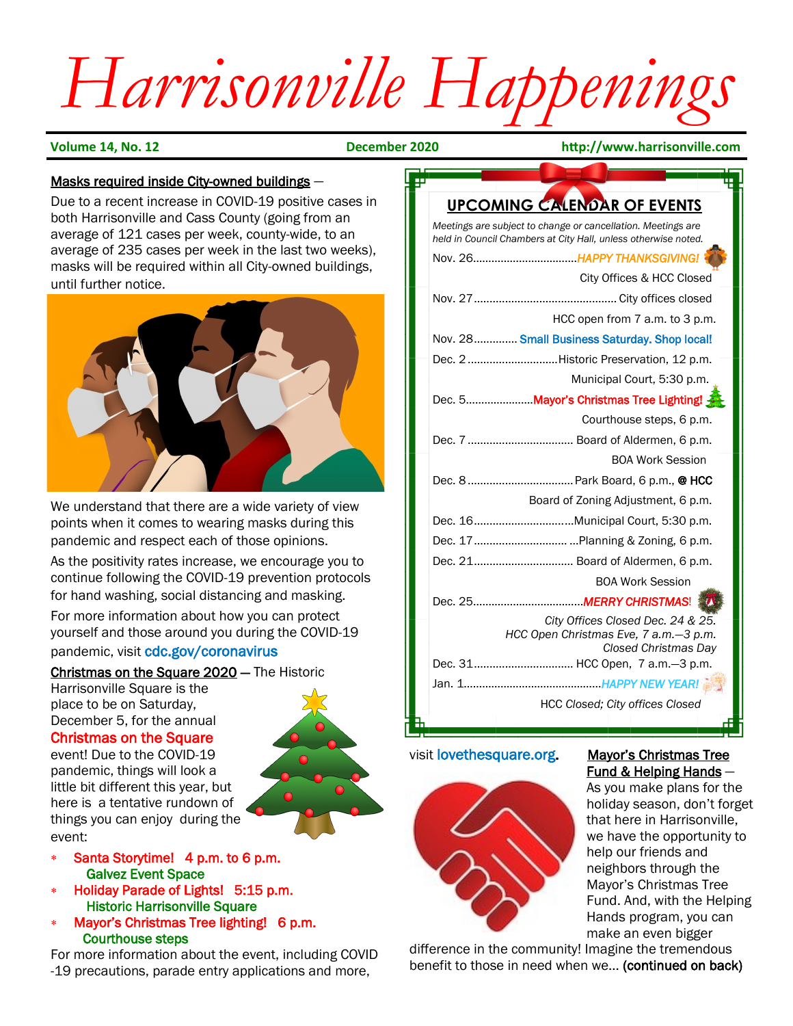# *Harrisonville Happenings*

**Volume 14, No. 12 December 2020 http:///www.hrrrsoovislle.com**

#### Masks required inside City-owned buildings —

Due to a recent increase in COVID-19 positive cases in both Harrisonville and Cass County (going from an average of 121 cases per week, county-wide, to an average of 235 cases per week in the last two weeks), masks will be required within all City-owned buildings, until further notice.



We understand that there are a wide variety of view points when it comes to wearing masks during this pandemic and respect each of those opinions.

As the positivity rates increase, we encourage you to continue following the COVID-19 prevention protocols for hand washing, social distancing and masking.

For more information about how you can protect yourself and those around you during the COVID-19 pandemic, visit cdc.gov/coronavirus

## Christmas on the Square 2020 - The Historic

Harrisonville Square is the place to be on Saturday, December 5, for the annual

## Christmas on the Square

event! Due to the COVID-19 pandemic, things will look a little bit different this year, but here is a tentative rundown of things you can enjoy during the event:



- Santa Storytime! 4 p.m. to 6 p.m. Galvez Event Space
- Holiday Parade of Lights! 5:15 p.m. **Historic Harrisonville Square**
- Mayor's Christmas Tree lighting! 6 p.m. Courthouse steps

For more information about the event, including COVID -19 precautions, parade entry applications and more,

# **UPCOMING CALENDAR OF EVENTS**

*Meetings are subject to change or cancellation. Meetings are held in Council Chambers at City Hall, unless otherwise noted.* Nov. 26…………………………....*HAPPY THANKSGIVING!*  City Offices & HCC Closed Nov. 27.............................................. City offices closed HCC open from 7 a.m. to 3 p.m. Nov. 28.............. Small Business Saturday. Shop local! Dec. 2.............................Historic Preservation, 12 p.m. Municipal Court, 5:30 p.m. Dec. 5.........................Mayor's Christmas Tree Lighting! Courthouse steps, 6 p.m. Dec. 7.................................. Board of Aldermen, 6 p.m. BOA Work Session Dec. 8..................................Park Board, 6 p.m., @ HCC Board of Zoning Adjustment, 6 p.m. Dec. 16................................Municipal Court, 5:30 p.m. Dec. 17.............................. ...Planning & Zoning, 6 p.m. Dec. 21................................ Board of Aldermen, 6 p.m. BOA Work Session Dec. 25….……………………….....*MERRY CHRISTMAS*! *City Offices Closed Dec. 24 & 25. HCC Open Christmas Eve, 7 a.m.—3 p.m. Closed Christmas Day* Dec. 31................................ HCC Open, 7 a.m.—3 p.m. Jan. 1……………………..….…………...*HAPPY NEW YEAR!*  HCC *Closed; City offices Closed*

## visit lovethesquare.org. Mayor's Christmas Tree



# Fund & Helping Hands —

As you make plans for the holiday season, don't forget that here in Harrisonville, we have the opportunity to help our friends and neighbors through the Mayor's Christmas Tree Fund. And, with the Helping Hands program, you can make an even bigger

difference in the community! Imagine the tremendous benefit to those in need when we... (continued on back)